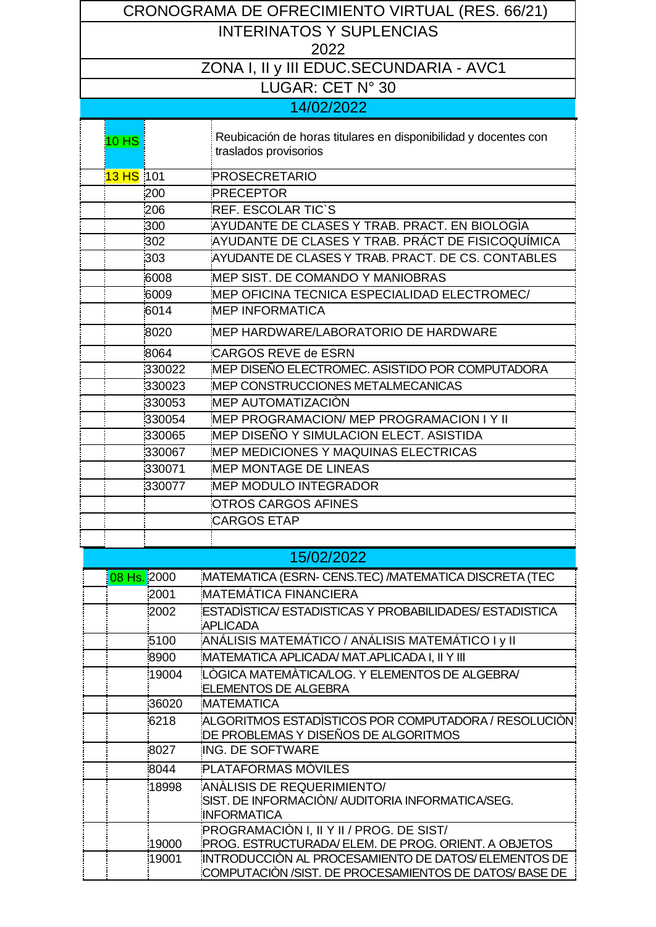| CRONOGRAMA DE OFRECIMIENTO VIRTUAL (RES. 66/21) |                                                                                                              |  |  |  |  |  |  |
|-------------------------------------------------|--------------------------------------------------------------------------------------------------------------|--|--|--|--|--|--|
| <b>INTERINATOS Y SUPLENCIAS</b>                 |                                                                                                              |  |  |  |  |  |  |
| 2022                                            |                                                                                                              |  |  |  |  |  |  |
| ZONA I, II y III EDUC.SECUNDARIA - AVC1         |                                                                                                              |  |  |  |  |  |  |
| LUGAR: CET N° 30                                |                                                                                                              |  |  |  |  |  |  |
|                                                 | 14/02/2022                                                                                                   |  |  |  |  |  |  |
|                                                 |                                                                                                              |  |  |  |  |  |  |
| $10$ HS                                         | Reubicación de horas titulares en disponibilidad y docentes con                                              |  |  |  |  |  |  |
|                                                 | traslados provisorios                                                                                        |  |  |  |  |  |  |
| 13 HS 101                                       | PROSECRETARIO                                                                                                |  |  |  |  |  |  |
| 200                                             | PRECEPTOR                                                                                                    |  |  |  |  |  |  |
| 206                                             | <b>REF. ESCOLAR TIC'S</b>                                                                                    |  |  |  |  |  |  |
| 300                                             | AYUDANTE DE CLASES Y TRAB. PRACT. EN BIOLOGIA                                                                |  |  |  |  |  |  |
| :302                                            | AYUDANTE DE CLASES Y TRAB. PRÁCT DE FISICOQUÍMICA                                                            |  |  |  |  |  |  |
| 303                                             | AYUDANTE DE CLASES Y TRAB. PRACT. DE CS. CONTABLES                                                           |  |  |  |  |  |  |
| 6008                                            | MEP SIST. DE COMANDO Y MANIOBRAS                                                                             |  |  |  |  |  |  |
| 6009                                            | MEP OFICINA TECNICA ESPECIALIDAD ELECTROMEC/                                                                 |  |  |  |  |  |  |
| 6014                                            | <b>MEP INFORMATICA</b>                                                                                       |  |  |  |  |  |  |
| 8020                                            | MEP HARDWARE/LABORATORIO DE HARDWARE                                                                         |  |  |  |  |  |  |
| 8064                                            | CARGOS REVE de ESRN                                                                                          |  |  |  |  |  |  |
| 330022                                          | MEP DISEÑO ELECTROMEC. ASISTIDO POR COMPUTADORA                                                              |  |  |  |  |  |  |
| 330023                                          | MEP CONSTRUCCIONES METALMECANICAS                                                                            |  |  |  |  |  |  |
| 330053                                          | MEP AUTOMATIZACIÒN                                                                                           |  |  |  |  |  |  |
| 330054                                          | MEP PROGRAMACION/ MEP PROGRAMACION I Y II                                                                    |  |  |  |  |  |  |
| 330065                                          | MEP DISEÑO Y SIMULACION ELECT. ASISTIDA                                                                      |  |  |  |  |  |  |
| 330067                                          | MEP MEDICIONES Y MAQUINAS ELECTRICAS                                                                         |  |  |  |  |  |  |
| 330071                                          | MEP MONTAGE DE LINEAS                                                                                        |  |  |  |  |  |  |
| 330077                                          | <b>MEP MODULO INTEGRADOR</b>                                                                                 |  |  |  |  |  |  |
|                                                 | OTROS CARGOS AFINES                                                                                          |  |  |  |  |  |  |
|                                                 | <b>CARGOS ETAP</b>                                                                                           |  |  |  |  |  |  |
|                                                 |                                                                                                              |  |  |  |  |  |  |
|                                                 | 15/02/2022                                                                                                   |  |  |  |  |  |  |
| 08 Hs. 2000                                     | MATEMATICA (ESRN- CENS.TEC) / MATEMATICA DISCRETA (TEC                                                       |  |  |  |  |  |  |
| 2001                                            | MATEMÁTICA FINANCIERA                                                                                        |  |  |  |  |  |  |
| 2002                                            | ESTADISTICA/ ESTADISTICAS Y PROBABILIDADES/ ESTADISTICA<br><b>APLICADA</b>                                   |  |  |  |  |  |  |
| 5100                                            | ANÁLISIS MATEMÁTICO / ANÁLISIS MATEMÁTICO I y II:                                                            |  |  |  |  |  |  |
| 8900                                            | MATEMATICA APLICADA/ MAT.APLICADA I, II Y III                                                                |  |  |  |  |  |  |
| 19004                                           | LÒGICA MATEMÀTICA/LOG. Y ELEMENTOS DE ALGEBRA/<br>ELEMENTOS DE ALGEBRA                                       |  |  |  |  |  |  |
| 36020                                           | <b>MATEMATICA</b>                                                                                            |  |  |  |  |  |  |
| 6218                                            | ALGORITMOS ESTADÌSTICOS POR COMPUTADORA / RESOLUCIÒN:                                                        |  |  |  |  |  |  |
| 8027                                            | DE PROBLEMAS Y DISEÑOS DE ALGORITMOS<br>ING. DE SOFTWARE                                                     |  |  |  |  |  |  |
| 8044                                            | PLATAFORMAS MÒVILES                                                                                          |  |  |  |  |  |  |
| 18998                                           | ANALISIS DE REQUERIMIENTO/                                                                                   |  |  |  |  |  |  |
|                                                 | SIST. DE INFORMACIÒN/ AUDITORIA INFORMATICA/SEG.<br><b>INFORMATICA</b>                                       |  |  |  |  |  |  |
|                                                 | PROGRAMACIÓN I, II Y II / PROG. DE SIST/                                                                     |  |  |  |  |  |  |
| 19000                                           | PROG. ESTRUCTURADA/ELEM. DE PROG. ORIENT. A OBJETOS                                                          |  |  |  |  |  |  |
| 19001                                           | INTRODUCCIÒN AL PROCESAMIENTO DE DATOS/ELEMENTOS DE<br>COMPUTACIÓN /SIST. DE PROCESAMIENTOS DE DATOS/BASE DE |  |  |  |  |  |  |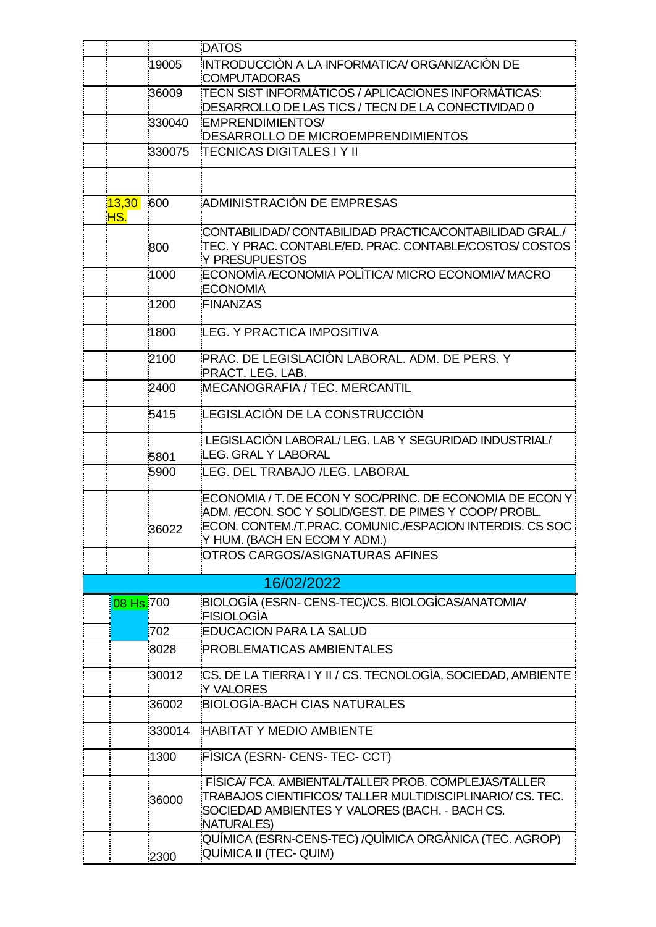|              |        | <b>DATOS</b>                                                                                                                                                                                                  |
|--------------|--------|---------------------------------------------------------------------------------------------------------------------------------------------------------------------------------------------------------------|
|              | 19005  | INTRODUCCIÓN A LA INFORMATICA/ ORGANIZACIÓN DE<br>COMPUTADORAS                                                                                                                                                |
|              | 36009  | TECN SIST INFORMÁTICOS / APLICACIONES INFORMÁTICAS:<br>DESARROLLO DE LAS TICS / TECN DE LA CONECTIVIDAD 0                                                                                                     |
|              | 330040 | EMPRENDIMIENTOS/<br>DESARROLLO DE MICROEMPRENDIMIENTOS                                                                                                                                                        |
|              | 330075 | <b>TECNICAS DIGITALES I Y II</b>                                                                                                                                                                              |
|              |        |                                                                                                                                                                                                               |
| 13,30<br>HS. | 600    | ADMINISTRACIÓN DE EMPRESAS                                                                                                                                                                                    |
|              | 800    | CONTABILIDAD/ CONTABILIDAD PRACTICA/CONTABILIDAD GRAL./<br>TEC. Y PRAC. CONTABLE/ED. PRAC. CONTABLE/COSTOS/ COSTOS:<br>Y PRESUPUESTOS                                                                         |
|              | 1000   | ECONOMÌA /ECONOMIA POLÌTICA/ MICRO ECONOMIA/ MACRO<br>ECONOMIA                                                                                                                                                |
|              | 1200   | FINANZAS                                                                                                                                                                                                      |
|              | 1800   | LEG. Y PRACTICA IMPOSITIVA                                                                                                                                                                                    |
|              | 2100   | PRAC. DE LEGISLACIÓN LABORAL. ADM. DE PERS. Y<br>PRACT. LEG. LAB.                                                                                                                                             |
|              | 2400   | MECANOGRAFIA / TEC. MERCANTIL                                                                                                                                                                                 |
|              | 5415   | LEGISLACIÓN DE LA CONSTRUCCIÓN                                                                                                                                                                                |
|              | 5801   | LEGISLACIÓN LABORAL/ LEG. LAB Y SEGURIDAD INDUSTRIAL/<br>LEG. GRAL Y LABORAL                                                                                                                                  |
|              | 5900   | LEG. DEL TRABAJO /LEG. LABORAL                                                                                                                                                                                |
|              | 36022  | ECONOMIA / T. DE ECON Y SOC/PRINC. DE ECONOMIA DE ECON Y<br>ADM. /ECON. SOC Y SOLID/GEST. DE PIMES Y COOP/ PROBL.<br>ECON. CONTEM./T.PRAC. COMUNIC./ESPACION INTERDIS. CS SOC<br>Y HUM. (BACH EN ECOM Y ADM.) |
|              |        | OTROS CARGOS/ASIGNATURAS AFINES                                                                                                                                                                               |
|              |        | 16/02/2022                                                                                                                                                                                                    |
| 08 Hs. 700   |        | BIOLOGIA (ESRN- CENS-TEC)/CS. BIOLOGICAS/ANATOMIA/<br>FISIOLOGIA                                                                                                                                              |
|              | 702    | <b>EDUCACION PARA LA SALUD</b>                                                                                                                                                                                |
|              | 8028   | PROBLEMATICAS AMBIENTALES                                                                                                                                                                                     |
|              | 30012  | CS. DE LA TIERRA I Y II / CS. TECNOLOGIA, SOCIEDAD, AMBIENTE<br>Y VALORES                                                                                                                                     |
|              | 36002  | <b>BIOLOGÍA-BACH CIAS NATURALES</b>                                                                                                                                                                           |
|              | 330014 | <b>HABITAT Y MEDIO AMBIENTE</b>                                                                                                                                                                               |
|              | 1300   | FISICA (ESRN- CENS- TEC- CCT)                                                                                                                                                                                 |
|              | 36000  | FISICA/FCA. AMBIENTAL/TALLER PROB. COMPLEJAS/TALLER<br>TRABAJOS CIENTIFICOS/TALLER MULTIDISCIPLINARIO/ CS. TEC.<br>SOCIEDAD AMBIENTES Y VALORES (BACH. - BACH CS.<br>NATURALES)                               |
|              | 2300   | QUÍMICA (ESRN-CENS-TEC) /QUÌMICA ORGÀNICA (TEC. AGROP)<br>QUÍMICA II (TEC- QUIM)                                                                                                                              |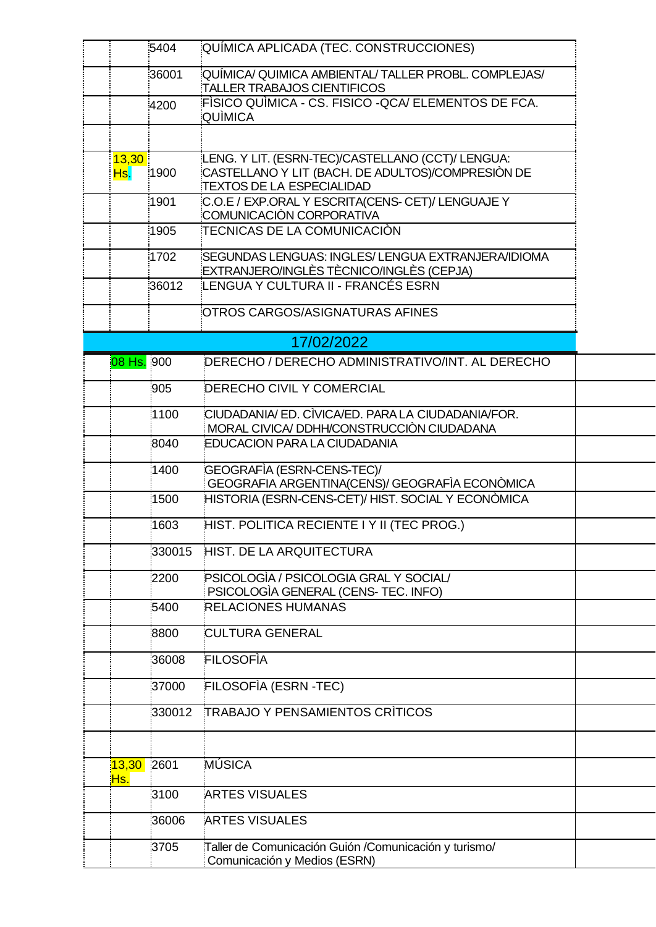| 36001<br>:QUÍMICA/ QUIMICA AMBIENTAL/ TALLER PROBL. COMPLEJAS/                                         |  |
|--------------------------------------------------------------------------------------------------------|--|
| <b>TALLER TRABAJOS CIENTIFICOS</b>                                                                     |  |
| FÌSICO QUÌMICA - CS. FISICO -QCA/ ELEMENTOS DE FCA.<br>4200<br>QUÌMICA                                 |  |
| LENG. Y LIT. (ESRN-TEC)/CASTELLANO (CCT)/ LENGUA:<br>13,30                                             |  |
| CASTELLANO Y LIT (BACH. DE ADULTOS)/COMPRESIÒN DE<br>1900<br>Hs.<br><b>TEXTOS DE LA ESPECIALIDAD</b>   |  |
| C.O.E / EXP.ORAL Y ESCRITA(CENS- CET)/ LENGUAJE Y<br>1901<br>COMUNICACIÓN CORPORATIVA                  |  |
| TECNICAS DE LA COMUNICACIÓN<br>1905                                                                    |  |
| SEGUNDAS LENGUAS: INGLES/LENGUA EXTRANJERA/IDIOMA<br>1702<br>EXTRANJERO/INGLÈS TÈCNICO/INGLÈS (CEPJA)  |  |
| LENGUA Y CULTURA II - FRANCÉS ESRN<br>36012                                                            |  |
| OTROS CARGOS/ASIGNATURAS AFINES                                                                        |  |
| 17/02/2022                                                                                             |  |
| 08 Hs. 900<br>DERECHO / DERECHO ADMINISTRATIVO/INT. AL DERECHO                                         |  |
| 905<br><b>DERECHO CIVIL Y COMERCIAL</b>                                                                |  |
| CIUDADANIA/ ED. CÌVICA/ED. PARA LA CIUDADANIA/FOR.<br>1100<br>MORAL CIVICA/DDHH/CONSTRUCCIÓN CIUDADANA |  |
| 8040<br><b>EDUCACION PARA LA CIUDADANIA</b>                                                            |  |
| GEOGRAFÌA (ESRN-CENS-TEC)/<br>1400<br>GEOGRAFIA ARGENTINA(CENS)/ GEOGRAFIA ECONÒMICA                   |  |
| HISTORIA (ESRN-CENS-CET)/ HIST. SOCIAL Y ECONÒMICA<br>1500                                             |  |
| HIST. POLITICA RECIENTE I Y II (TEC PROG.)<br>1603                                                     |  |
| 330015<br><b>HIST. DE LA ARQUITECTURA</b>                                                              |  |
| PSICOLOGIA / PSICOLOGIA GRAL Y SOCIAL/<br>2200<br>PSICOLOGIA GENERAL (CENS- TEC. INFO)                 |  |
| <b>RELACIONES HUMANAS</b><br>5400                                                                      |  |
| CULTURA GENERAL<br>8800                                                                                |  |
| FILOSOFIA<br>36008                                                                                     |  |
| FILOSOFIA (ESRN-TEC)<br>37000                                                                          |  |
| <b>TRABAJO Y PENSAMIENTOS CRÍTICOS</b><br>330012                                                       |  |
|                                                                                                        |  |
| MÚSICA<br>13,30<br>2601<br><u>Hs.</u>                                                                  |  |
| 3100<br>ARTES VISUALES                                                                                 |  |
| 36006<br>ARTES VISUALES                                                                                |  |
| 3705<br>Taller de Comunicación Guión /Comunicación y turismo/<br>Comunicación y Medios (ESRN)          |  |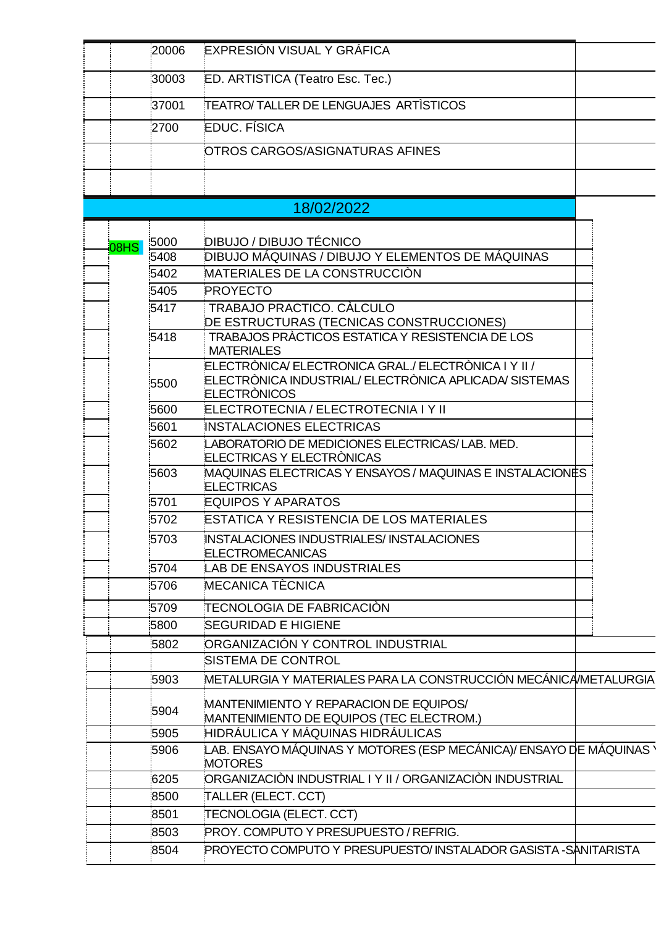|             | 20006            | <b>EXPRESIÓN VISUAL Y GRÁFICA</b>                                                                                                     |  |
|-------------|------------------|---------------------------------------------------------------------------------------------------------------------------------------|--|
|             | 30003            | ED. ARTISTICA (Teatro Esc. Tec.)                                                                                                      |  |
|             | 37001            | TEATRO/TALLER DE LENGUAJES ARTISTICOS                                                                                                 |  |
|             | 2700             | <b>EDUC. FÍSICA</b>                                                                                                                   |  |
|             |                  | OTROS CARGOS/ASIGNATURAS AFINES                                                                                                       |  |
|             |                  |                                                                                                                                       |  |
|             |                  |                                                                                                                                       |  |
|             |                  | 18/02/2022                                                                                                                            |  |
|             | 5000             | DIBUJO / DIBUJO TÉCNICO                                                                                                               |  |
| <b>08HS</b> | $\frac{1}{5408}$ | DIBUJO MÁQUINAS / DIBUJO Y ELEMENTOS DE MÁQUINAS                                                                                      |  |
|             | 5402             | MATERIALES DE LA CONSTRUCCIÓN                                                                                                         |  |
|             | 5405             | PROYECTO                                                                                                                              |  |
|             | 5417             | TRABAJO PRACTICO. CÀLCULO                                                                                                             |  |
|             |                  | DE ESTRUCTURAS (TECNICAS CONSTRUCCIONES)                                                                                              |  |
|             | 5418             | TRABAJOS PRÁCTICOS ESTATICA Y RESISTENCIA DE LOS<br><b>MATERIALES</b>                                                                 |  |
|             | 5500             | ELECTRÒNICA/ ELECTRONICA GRAL./ ELECTRÒNICA I Y II /<br>ELECTRÒNICA INDUSTRIAL/ ELECTRÒNICA APLICADA/ SISTEMAS<br><b>ELECTRONICOS</b> |  |
|             | 5600             | ELECTROTECNIA / ELECTROTECNIA I Y II                                                                                                  |  |
|             | 5601             | INSTALACIONES ELECTRICAS                                                                                                              |  |
|             | 5602             | LABORATORIO DE MEDICIONES ELECTRICAS/ LAB. MED.<br><b>ELECTRICAS Y ELECTRÒNICAS</b>                                                   |  |
|             | 5603             | MAQUINAS ELECTRICAS Y ENSAYOS / MAQUINAS E INSTALACIONES<br><b>ELECTRICAS</b>                                                         |  |
|             | 5701             | <b>EQUIPOS Y APARATOS</b>                                                                                                             |  |
|             | 5702             | <b>ESTATICA Y RESISTENCIA DE LOS MATERIALES</b>                                                                                       |  |
|             | 5703             | INSTALACIONES INDUSTRIALES/INSTALACIONES<br><b>ELECTROMECANICAS</b>                                                                   |  |
|             | 5704             | <b>LAB DE ENSAYOS INDUSTRIALES</b>                                                                                                    |  |
|             | 5706             | MECANICA TÈCNICA                                                                                                                      |  |
|             | 5709             | TECNOLOGIA DE FABRICACIÓN                                                                                                             |  |
|             | 5800             | <b>SEGURIDAD E HIGIENE</b>                                                                                                            |  |
|             | 5802             | ORGANIZACIÓN Y CONTROL INDUSTRIAL                                                                                                     |  |
|             |                  | SISTEMA DE CONTROL                                                                                                                    |  |
|             | 5903             | METALURGIA Y MATERIALES PARA LA CONSTRUCCIÓN MECÁNICAMETALURGIA                                                                       |  |
|             | 5904             | MANTENIMIENTO Y REPARACION DE EQUIPOS/<br>MANTENIMIENTO DE EQUIPOS (TEC ELECTROM.)                                                    |  |
|             | 5905             | HIDRÁULICA Y MÁQUINAS HIDRÁULICAS                                                                                                     |  |
|             | 5906             | LAB. ENSAYO MÁQUINAS Y MOTORES (ESP MECÁNICA)/ ENSAYO DE MÁQUINAS `<br><b>MOTORES</b>                                                 |  |
|             | 6205             | .<br>ORGANIZACIÒN INDUSTRIAL I Y II / ORGANIZACIÒN INDUSTRIAL                                                                         |  |
|             | 8500             | TALLER (ELECT. CCT)                                                                                                                   |  |
|             | 8501             | TECNOLOGIA (ELECT. CCT)                                                                                                               |  |
|             | 8503             | PROY. COMPUTO Y PRESUPUESTO / REFRIG.                                                                                                 |  |
|             | 8504             | PROYECTO COMPUTO Y PRESUPUESTO/ INSTALADOR GASISTA -SANITARISTA                                                                       |  |